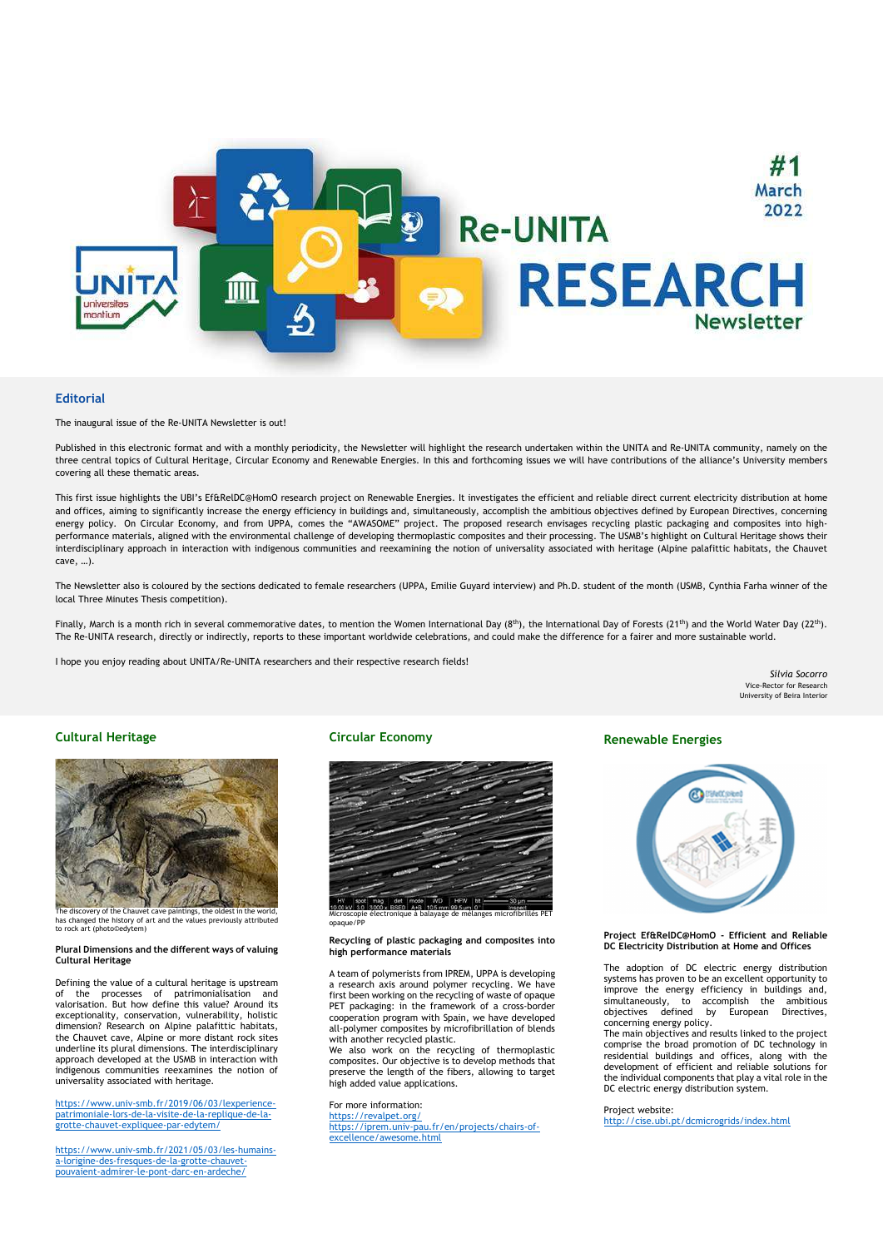

### **Editorial**

The inaugural issue of the Re-UNITA Newsletter is out!

Published in this electronic format and with a monthly periodicity, the Newsletter will highlight the research undertaken within the UNITA and Re-UNITA community, namely on the three central topics of Cultural Heritage, Circular Economy and Renewable Energies. In this and forthcoming issues we will have contributions of the alliance's University members covering all these thematic areas.

This first issue highlights the UBI's Ef&RelDC@HomO research project on Renewable Energies. It investigates the efficient and reliable direct current electricity distribution at home and offices, aiming to significantly increase the energy efficiency in buildings and, simultaneously, accomplish the ambitious objectives defined by European Directives, concerning energy policy. On Circular Economy, and from UPPA, comes the "AWASOME" project. The proposed research envisages recycling plastic packaging and composites into highperformance materials, aligned with the environmental challenge of developing thermoplastic composites and their processing. The USMB's highlight on Cultural Heritage shows their interdisciplinary approach in interaction with indigenous communities and reexamining the notion of universality associated with heritage (Alpine palafittic habitats, the Chauvet cave, …).

The Newsletter also is coloured by the sections dedicated to female researchers (UPPA, Emilie Guyard interview) and Ph.D. student of the month (USMB, Cynthia Farha winner of the local Three Minutes Thesis competition).

Finally, March is a month rich in several commemorative dates, to mention the Women International Day (8<sup>th</sup>), the International Day of Forests (21<sup>th</sup>) and the World Water Day (22<sup>th</sup>). The Re-UNITA research, directly or indirectly, reports to these important worldwide celebrations, and could make the difference for a fairer and more sustainable world.

I hope you enjoy reading about UNITA/Re-UNITA researchers and their respective research fields!

Sílvia Socorro Vice-Rector for Research University of Beira Interior

# Cultural Heritage



The discovery of the Chauvet cave paintings, the oldest in the world, has changed the history of art and the values previously attributed to rock art (photo©edytem)

### Plural Dimensions and the different ways of valuing Cultural Heritage

Defining the value of a cultural heritage is upstream of the processes of patrimonialisation and valorisation. But how define this value? Around its exceptionality, conservation, vulnerability, holistic dimension? Research on Alpine palafittic habitats, the Chauvet cave, Alpine or more distant rock sites underline its plural dimensions. The interdisciplinary approach developed at the USMB in interaction with indigenous communities reexamines the notion of universality associated with heritage.

https://www.univ-smb.fr/2019/06/03/lexperiencepatrimoniale-lors-de-la-visite-de-la-replique-de-lagrotte-chauvet-expliquee-par-edytem/

https://www.univ-smb.fr/2021/05/03/les-humainsa-lorigine-des-fresques-de-la-grotte-chauvetpouvaient-admirer-le-pont-darc-en-ardeche/

### Circular Economy



opaque/PP

### Recycling of plastic packaging and composites into high performance materials

A team of polymerists from IPREM, UPPA is developing a research axis around polymer recycling. We have first been working on the recycling of waste of opaque PET packaging: in the framework of a cross-border cooperation program with Spain, we have developed all-polymer composites by microfibrillation of blends with another recycled plastic.

We also work on the recycling of thermoplastic composites. Our objective is to develop methods that preserve the length of the fibers, allowing to target high added value applications.

For more information: https://revalpet.org/ https://iprem.univ-pau.fr/en/projects/chairs-ofexcellence/awesome.html

## Renewable Energies



Project Ef&RelDC@HomO - Efficient and Reliable DC Electricity Distribution at Home and Offices

The adoption of DC electric energy distribution systems has proven to be an excellent opportunity to improve the energy efficiency in buildings and, simultaneously, to accomplish the ambitious objectives defined by European Directives, concerning energy policy.

The main objectives and results linked to the project comprise the broad promotion of DC technology in residential buildings and offices, along with the development of efficient and reliable solutions for the individual components that play a vital role in the DC electric energy distribution system.

Project website:

http://cise.ubi.pt/dcmicrogrids/index.html